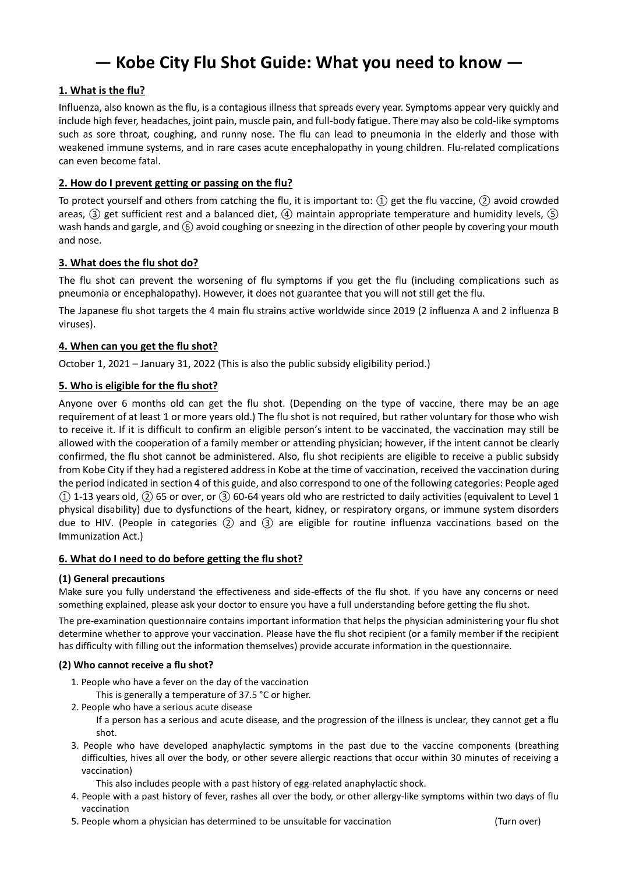# **― Kobe City Flu Shot Guide: What you need to know ―**

## **1. What is the flu?**

Influenza, also known as the flu, is a contagious illness that spreads every year. Symptoms appear very quickly and include high fever, headaches, joint pain, muscle pain, and full-body fatigue. There may also be cold-like symptoms such as sore throat, coughing, and runny nose. The flu can lead to pneumonia in the elderly and those with weakened immune systems, and in rare cases acute encephalopathy in young children. Flu-related complications can even become fatal.

## **2. How do I prevent getting or passing on the flu?**

To protect yourself and others from catching the flu, it is important to:  $(1)$  get the flu vaccine,  $(2)$  avoid crowded areas, ③ get sufficient rest and a balanced diet, ④ maintain appropriate temperature and humidity levels, ⑤ wash hands and gargle, and  $(6)$  avoid coughing or sneezing in the direction of other people by covering your mouth and nose.

## **3. What does the flu shot do?**

The flu shot can prevent the worsening of flu symptoms if you get the flu (including complications such as pneumonia or encephalopathy). However, it does not guarantee that you will not still get the flu.

The Japanese flu shot targets the 4 main flu strains active worldwide since 2019 (2 influenza A and 2 influenza B viruses).

# **4. When can you get the flu shot?**

October 1, 2021 – January 31, 2022 (This is also the public subsidy eligibility period.)

# **5. Who is eligible for the flu shot?**

Anyone over 6 months old can get the flu shot. (Depending on the type of vaccine, there may be an age requirement of at least 1 or more years old.) The flu shot is not required, but rather voluntary for those who wish to receive it. If it is difficult to confirm an eligible person's intent to be vaccinated, the vaccination may still be allowed with the cooperation of a family member or attending physician; however, if the intent cannot be clearly confirmed, the flu shot cannot be administered. Also, flu shot recipients are eligible to receive a public subsidy from Kobe City if they had a registered address in Kobe at the time of vaccination, received the vaccination during the period indicated in section 4 of this guide, and also correspond to one of the following categories: People aged  $(1)$  1-13 years old,  $(2)$  65 or over, or  $(3)$  60-64 years old who are restricted to daily activities (equivalent to Level 1 physical disability) due to dysfunctions of the heart, kidney, or respiratory organs, or immune system disorders due to HIV. (People in categories ② and ③ are eligible for routine influenza vaccinations based on the Immunization Act.)

## **6. What do I need to do before getting the flu shot?**

## **(1) General precautions**

Make sure you fully understand the effectiveness and side-effects of the flu shot. If you have any concerns or need something explained, please ask your doctor to ensure you have a full understanding before getting the flu shot.

The pre-examination questionnaire contains important information that helps the physician administering your flu shot determine whether to approve your vaccination. Please have the flu shot recipient (or a family member if the recipient has difficulty with filling out the information themselves) provide accurate information in the questionnaire.

## **(2) Who cannot receive a flu shot?**

1. People who have a fever on the day of the vaccination

This is generally a temperature of 37.5 °C or higher.

- 2. People who have a serious acute disease
	- If a person has a serious and acute disease, and the progression of the illness is unclear, they cannot get a flu shot.
- 3. People who have developed anaphylactic symptoms in the past due to the vaccine components (breathing difficulties, hives all over the body, or other severe allergic reactions that occur within 30 minutes of receiving a vaccination)

This also includes people with a past history of egg-related anaphylactic shock.

- 4. People with a past history of fever, rashes all over the body, or other allergy-like symptoms within two days of flu vaccination
- 5. People whom a physician has determined to be unsuitable for vaccination (Turn over)